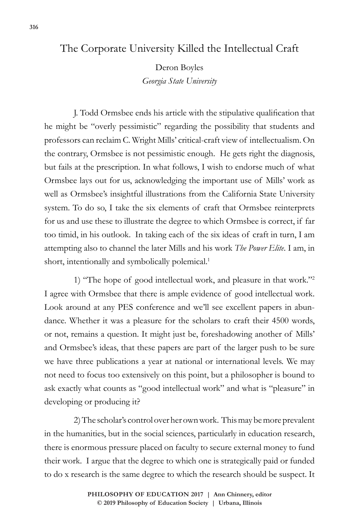## The Corporate University Killed the Intellectual Craft

Deron Boyles

*Georgia State University*

J. Todd Ormsbee ends his article with the stipulative qualification that he might be "overly pessimistic" regarding the possibility that students and professors can reclaim C. Wright Mills' critical-craft view of intellectualism. On the contrary, Ormsbee is not pessimistic enough. He gets right the diagnosis, but fails at the prescription. In what follows, I wish to endorse much of what Ormsbee lays out for us, acknowledging the important use of Mills' work as well as Ormsbee's insightful illustrations from the California State University system. To do so, I take the six elements of craft that Ormsbee reinterprets for us and use these to illustrate the degree to which Ormsbee is correct, if far too timid, in his outlook. In taking each of the six ideas of craft in turn, I am attempting also to channel the later Mills and his work *The Power Elite*. I am, in short, intentionally and symbolically polemical.<sup>1</sup>

1) "The hope of good intellectual work, and pleasure in that work."2 I agree with Ormsbee that there is ample evidence of good intellectual work. Look around at any PES conference and we'll see excellent papers in abundance. Whether it was a pleasure for the scholars to craft their 4500 words, or not, remains a question. It might just be, foreshadowing another of Mills' and Ormsbee's ideas, that these papers are part of the larger push to be sure we have three publications a year at national or international levels. We may not need to focus too extensively on this point, but a philosopher is bound to ask exactly what counts as "good intellectual work" and what is "pleasure" in developing or producing it?

2) The scholar's control over her own work. This may be more prevalent in the humanities, but in the social sciences, particularly in education research, there is enormous pressure placed on faculty to secure external money to fund their work. I argue that the degree to which one is strategically paid or funded to do x research is the same degree to which the research should be suspect. It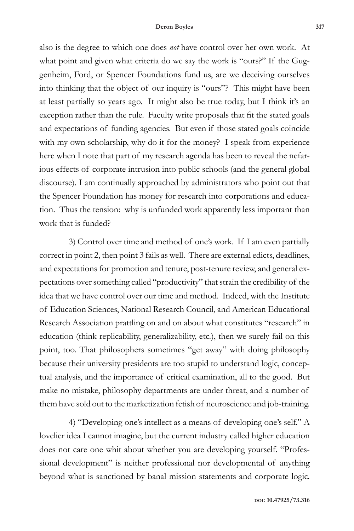also is the degree to which one does *not* have control over her own work. At what point and given what criteria do we say the work is "ours?" If the Guggenheim, Ford, or Spencer Foundations fund us, are we deceiving ourselves into thinking that the object of our inquiry is "ours"? This might have been at least partially so years ago. It might also be true today, but I think it's an exception rather than the rule. Faculty write proposals that fit the stated goals and expectations of funding agencies. But even if those stated goals coincide with my own scholarship, why do it for the money? I speak from experience here when I note that part of my research agenda has been to reveal the nefarious effects of corporate intrusion into public schools (and the general global discourse). I am continually approached by administrators who point out that the Spencer Foundation has money for research into corporations and education. Thus the tension: why is unfunded work apparently less important than work that is funded?

3) Control over time and method of one's work. If I am even partially correct in point 2, then point 3 fails as well. There are external edicts, deadlines, and expectations for promotion and tenure, post-tenure review, and general expectations over something called "productivity" that strain the credibility of the idea that we have control over our time and method. Indeed, with the Institute of Education Sciences, National Research Council, and American Educational Research Association prattling on and on about what constitutes "research" in education (think replicability, generalizability, etc.), then we surely fail on this point, too. That philosophers sometimes "get away" with doing philosophy because their university presidents are too stupid to understand logic, conceptual analysis, and the importance of critical examination, all to the good. But make no mistake, philosophy departments are under threat, and a number of them have sold out to the marketization fetish of neuroscience and job-training.

4) "Developing one's intellect as a means of developing one's self." A lovelier idea I cannot imagine, but the current industry called higher education does not care one whit about whether you are developing yourself. "Professional development" is neither professional nor developmental of anything beyond what is sanctioned by banal mission statements and corporate logic.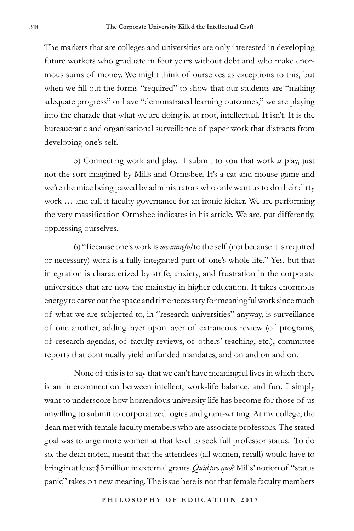The markets that are colleges and universities are only interested in developing future workers who graduate in four years without debt and who make enormous sums of money. We might think of ourselves as exceptions to this, but when we fill out the forms "required" to show that our students are "making" adequate progress" or have "demonstrated learning outcomes," we are playing into the charade that what we are doing is, at root, intellectual. It isn't. It is the bureaucratic and organizational surveillance of paper work that distracts from developing one's self.

5) Connecting work and play. I submit to you that work *is* play, just not the sort imagined by Mills and Ormsbee. It's a cat-and-mouse game and we're the mice being pawed by administrators who only want us to do their dirty work … and call it faculty governance for an ironic kicker. We are performing the very massification Ormsbee indicates in his article. We are, put differently, oppressing ourselves.

6) "Because one's work is *meaningful* to the self (not because it is required or necessary) work is a fully integrated part of one's whole life." Yes, but that integration is characterized by strife, anxiety, and frustration in the corporate universities that are now the mainstay in higher education. It takes enormous energy to carve out the space and time necessary for meaningful work since much of what we are subjected to, in "research universities" anyway, is surveillance of one another, adding layer upon layer of extraneous review (of programs, of research agendas, of faculty reviews, of others' teaching, etc.), committee reports that continually yield unfunded mandates, and on and on and on.

None of this is to say that we can't have meaningful lives in which there is an interconnection between intellect, work-life balance, and fun. I simply want to underscore how horrendous university life has become for those of us unwilling to submit to corporatized logics and grant-writing. At my college, the dean met with female faculty members who are associate professors. The stated goal was to urge more women at that level to seek full professor status. To do so, the dean noted, meant that the attendees (all women, recall) would have to bring in at least \$5 million in external grants. *Quid pro quo*? Mills' notion of "status panic" takes on new meaning. The issue here is not that female faculty members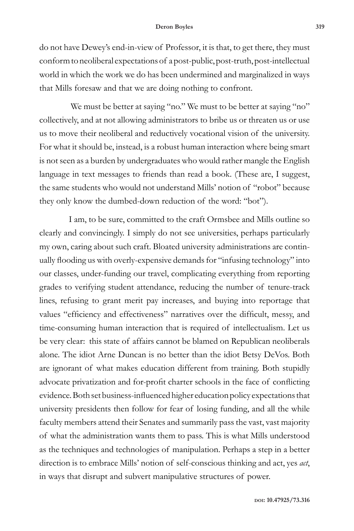do not have Dewey's end-in-view of Professor, it is that, to get there, they must conform to neoliberal expectations of a post-public, post-truth, post-intellectual world in which the work we do has been undermined and marginalized in ways that Mills foresaw and that we are doing nothing to confront.

We must be better at saying "no." We must to be better at saying "no" collectively, and at not allowing administrators to bribe us or threaten us or use us to move their neoliberal and reductively vocational vision of the university. For what it should be, instead, is a robust human interaction where being smart is not seen as a burden by undergraduates who would rather mangle the English language in text messages to friends than read a book. (These are, I suggest, the same students who would not understand Mills' notion of "robot" because they only know the dumbed-down reduction of the word: "bot").

I am, to be sure, committed to the craft Ormsbee and Mills outline so clearly and convincingly. I simply do not see universities, perhaps particularly my own, caring about such craft. Bloated university administrations are continually flooding us with overly-expensive demands for "infusing technology" into our classes, under-funding our travel, complicating everything from reporting grades to verifying student attendance, reducing the number of tenure-track lines, refusing to grant merit pay increases, and buying into reportage that values "efficiency and effectiveness" narratives over the difficult, messy, and time-consuming human interaction that is required of intellectualism. Let us be very clear: this state of affairs cannot be blamed on Republican neoliberals alone. The idiot Arne Duncan is no better than the idiot Betsy DeVos. Both are ignorant of what makes education different from training. Both stupidly advocate privatization and for-profit charter schools in the face of conflicting evidence. Both set business-influenced higher education policy expectations that university presidents then follow for fear of losing funding, and all the while faculty members attend their Senates and summarily pass the vast, vast majority of what the administration wants them to pass. This is what Mills understood as the techniques and technologies of manipulation. Perhaps a step in a better direction is to embrace Mills' notion of self-conscious thinking and act, yes *act*, in ways that disrupt and subvert manipulative structures of power.